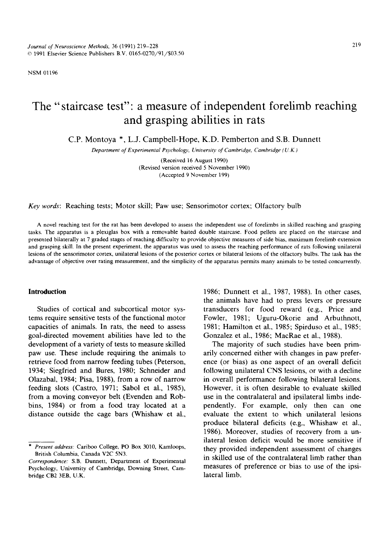NSM 01196

# The "staircase test": a measure of independent forelimb reaching **and grasping abilities in rats**

C.P. Montoya \*, L.J. Campbell-Hope, K.D. Pemberton and S.B. Dunnett

*Department of Experimental Psychology, Unioersity of Cambridge, Cambridge ( U. K.)* 

(Received 16 August 1990) (Revised version received 5 November 1990) (Accepted 9 November 199)

*Key words:* Reaching tests; Motor skill; Paw use; Sensorimotor cortex; Olfactory bulb

A novel reaching test for the rat has been developed to assess the independent use of forelimbs in skilled reaching and grasping tasks. The apparatus is a plexiglas box with a removable baited double staircase. Food pellets are placed on the staircase and presented bilaterally at 7 graded stages of reaching difficulty to provide objective measures of side bias, maximum forelimb extension and grasping skill. In the present experiment, the apparatus was used to assess the reaching performance of rats following unilateral lesions of the sensorimotor cortex, unilateral lesions of the posterior cortex or bilateral lesions of the olfactory bulbs. The task has the advantage of objective over rating measurement, and the simplicity of the apparatus permits many animals to be tested concurrently.

#### **Introduction**

Studies of cortical and subcortical motor systems require sensitive tests of the functional motor capacities of animals. In rats, the need to assess goal-directed movement abilities have led to the development of a variety of tests to measure skilled paw use. These include requiring the animals to retrieve food from narrow feeding tubes (Peterson, 1934; Siegfried and Bures, 1980; Schneider and Olazabal, 1984; Pisa, 1988), from a row of narrow feeding slots (Castro, 1971; Sabol et al., 1985), from a moving conveyor belt (Evenden and Robbins, 1984) or from a food tray located at a distance outside the cage bars (Whishaw et al.,

1986; Dunnett et al., 1987, 1988). In other cases, the animals have had to press levers or pressure transducers for food reward (e.g., Price and Fowler, 1981; Uguru-Okorie and Arbuthnott, 1981; Hamilton et al., 1985; Spirduso et al., 1985; Gonzalez et al., 1986; MacRae et al, 1988).

The majority of such studies have been primarily concerned either with changes in paw preference (or bias) as one aspect of an overall deficit following unilateral CNS lesions, or with a decline in overall performance following bilateral lesions. However, it is often desirable to evaluate skilled use in the contralateral and ipsilateral limbs independently. For example, only then can one evaluate the extent to which unilateral lesions produce bilateral deficits (e.g., Whishaw et al,, 1986). Moreover, studies of recovery from a unilateral lesion deficit would be more sensitive if they provided independent assessment of changes in skilled use of the contralateral limb rather than measures of preference or bias to use of the ipsilateral limb.

*<sup>\*</sup> Present address:* Cariboo College, PO Box 3010, Kamloops, British Columbia, Canada V2C 5N3.

*Correspondence:* S.B. Dunnett, Department of Experimental Psychology, University of Cambridge, Downing Street, Cambridge CB2 3EB, U.K.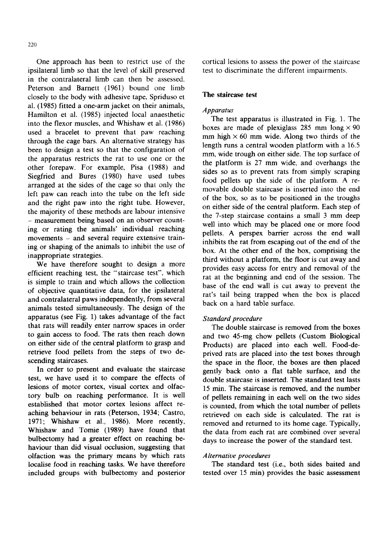One approach has been to restrict use of the ipsilateral limb so that the level of skill preserved in the contralateral limb can then be assessed. Peterson and Barnett (1961) bound one limb closely to the body with adhesive tape, Spriduso et al. (1985) fitted a one-arm jacket on their animals, Hamilton et al. (1985) injected local anaesthetic into the flexor muscles, and Whishaw et al. (1986) used a bracelet to prevent that paw reaching through the cage bars. An alternative strategy has been to design a test so that the configuration of the apparatus restricts the rat to use one or the other forepaw. For example, Pisa (1988) and Siegfried and Bures (1980) have used tubes arranged at the sides of the cage so that only the left paw can reach into the tube on the left side and the right paw into the right tube. However, the majority of these methods are labour intensive **-** measurement being based on an observer counting or rating the animals' individual reaching movements - and several require extensive training or shaping of the animals to inhibit the use of inappropriate strategies.

We have therefore sought to design a more efficient reaching test, the "staircase test", which is simple to train and which allows the collection of objective quantitative data, for the ipsilateral and contralateral paws independently, from several animals tested simultaneously. The design of the apparatus (see Fig. 1) takes advantage of the fact that rats will readily enter narrow spaces in order to gain access to food. The rats then reach down on either side of the central platform to grasp and retrieve food pellets from the steps of two descending staircases.

In order to present and evaluate the staircase test, we have used it to compare the effects of lesions of motor cortex, visual cortex and olfactory bulb on reaching performance. It is well established that motor cortex lesions affect reaching behaviour in rats (Peterson, 1934; Castro, 1971; Whishaw et al., 1986). More recently, Whishaw and Tomie (1989) have found that bulbectomy had a greater effect on reaching behaviour than did visual occlusion, suggesting that olfaction was the primary means by which rats localise food in reaching tasks. We have therefore included groups with bulbectomy and posterior

cortical lesions to assess the power of the staircase test to discriminate the different impairments.

## **The staircase test**

## *Apparatus*

The test apparatus is illustrated in Fig. 1. The boxes are made of plexiglass 285 mm long  $\times$  90 mm high  $\times$  60 mm wide. Along two thirds of the length runs a central wooden platform with a 16.5 mm, wide trough on either side. The top surface of the platform is 27 mm wide, and overhangs the sides so as to prevent rats from simply scraping food pellets up the side of the platform. A removable double staircase is inserted into the end of the box, so as to be positioned in the troughs on either side of the central platform. Each step of the 7-step staircase contains a small 3 mm deep well into which may be placed one or more food pellets. A perspex barrier across the end wall inhibits the rat from escaping out of the end of the box. At the other end of the box, comprising the third without a platform, the floor is cut away and provides easy access for entry and removal of the rat at the beginning and end of the session. The base of the end wall is cut away to prevent the rat's tail being trapped when the box is placed back on a hard table surface.

## *Standard procedure*

The double staircase is removed from the boxes and two 45-mg chow pellets (Custom Biological Products) are placed into each well. Food-deprived rats are placed into the test boxes through the space in the floor, the boxes are then placed gently back onto a flat table surface, and the double staircase is inserted. The standard test lasts 15 min. The staircase is removed, and the number of pellets remaining in each well on the: two sides is counted, from which the total number of pellets retrieved on each side is calculated. The rat is removed and returned to its home cage. Typically, the data from each rat are combined over several days to increase the power of the standard test.

#### *A lternatioe procedures*

The standard test (i.e., both sides baited and tested over 15 min) provides the basic assessment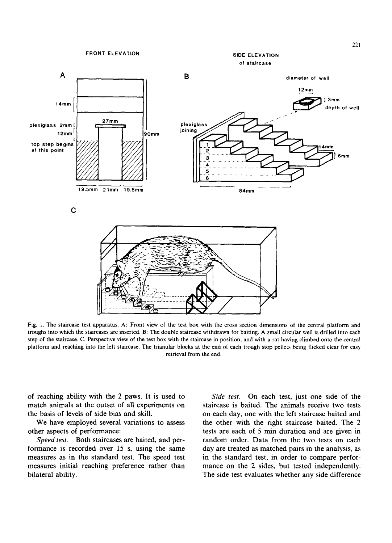SIDE ELEVATION of staircase



Fig. 1. The staircase test apparatus. A: Front view of the test box with the cross section dimensions of the central platform and troughs into which the staircases are inserted. B: The double staircase withdrawn for baiting. A small circular well is drilled into each step of the staircase. C, Perspective view of the test box with the staircase in position, and with a rat having climbed onto the central platform and reaching into the left staircase. The trianular blocks at the end of each trough stop pellets being flicked clear for easy retrieval from the end.

of reaching ability with the 2 paws. It is used to match animals at the outset of all experiments on the basis of levels of side bias and skill.

We have employed several variations to assess other aspects of performance:

*Speed test.* Both staircases are baited, and performance is recorded over 15 s, using the same measures as in the standard test. The speed test measures initial reaching preference rather than bilateral ability.

*Side test.* On each test, just one side of the staircase is baited. The animals receive two tests on each day, one with the left staircase baited and the other with the right staircase baited. The 2 tests are each of 5 min duration and are given in random order. Data from the two tests on each day are treated as matched pairs in the analysis, as in the standard test, in order to compare performance on the 2 sides, but tested independently. The side test evaluates whether any side difference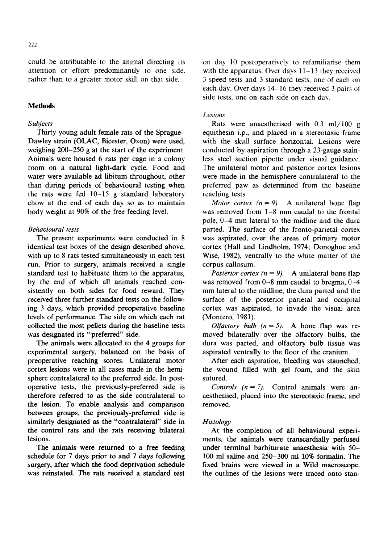222

could be attributable to the animal directing its attention or effort predominantly to one side. rather than to a greater motor skill on that side.

# **Methods**

## *Subjects*

Thirty young adult female rats of the Sprague-Dawley strain (OLAC, Bicester, Oxon) were used, weighing 200-250 g at the start of the experiment. Animals were housed 6 rats per cage in a colony room on a natural light-dark cycle. Food and water were available ad libitum throughout, other than during periods of behavioural testing when the rats were fed 10-15 g standard laboratory chow at the end of each day so as to maintain body weight at 90% of the free feeding level.

## *Behavioural tests*

The present experiments were conducted in 8 identical test boxes of the design described above, with up to 8 rats tested simultaneously in each test run. Prior to surgery, animals received a single standard test to habituate them to the apparatus, by the end of which all animals reached consistently on both sides for food reward. They received three further standard tests on the following 3 days, which provided preoperative baseline levels of performance. The side on which each rat collected the most pellets during the baseline tests was designated its "preferred" side.

The animals were allocated to the 4 groups for experimental surgery, balanced on the basis of preoperative reaching scores. Unilateral motor cortex lesions were in all cases made in the hemisphere contralateral to the preferred side. In postoperative tests, the previously-preferred side is therefore referred to as the side contralateral to the lesion. To enable analysis and comparison between groups, the previously-preferred side is similarly designated as the "contralateral" side in the control rats and the rats receiving bilateral lesions.

The animals were returned to a free feeding schedule for 7 days prior to and 7 days following surgery, after which the food deprivation schedule was reinstated. The rats received a standard test on day 10 postoperatively to refamiliarise them with the apparatus. Over days 11-13 they received 3 speed tests and 3 standard tests, one of each on each day. Over days 14-16 they received 3 pairs of side tests, one on each side on each daw

## *Lesions*

Rats were anaesthetised with  $0.3 \text{ ml} / 100 \text{ g}$ equithesin i.p., and placed in a stereotaxic frame with the skull surface horizontal. Lesions were conducted by aspiration through a 23-gauge stainless steel suction pipette under visual guidance. The unilateral motor and posterior cortex lesions were made in the hemisphere contralateral to the preferred paw as determined from the baseline reaching tests.

*Motor cortex*  $(n = 9)$ *.* A unilateral bone flap was removed from 1-8 mm caudal to the frontal pole, 0-4 mm lateral to the midline and the dura parted. The surface of the fronto-parietal cortex was aspirated, over the areas of primary motor cortex (Hall and Lindholm, 1974; Donoghue and Wise, 1982), ventrally to the white matter of the corpus callosum.

*Posterior cortex (* $n = 9$ *).* A unilateral bone flap was removed from 0-8 mm caudal to bregma, 0-4 mm lateral to the midline, the dura parted and the surface of the posterior parietal and occipital cortex was aspirated, to invade the visual area (Montero, 1981).

*Olfactory bulb*  $(n = 5)$ *.* A bone flap was removed bilaterally over the olfactory bulbs, the dura was parted, and olfactory bulb tissue was aspirated ventrally to the floor of the cranium.

After each aspiration, bleeding was staunched, the wound filled with gel foam, and the skin sutured.

*Controls*  $(n = 7)$ *.* Control animals were anaesthetised, placed into the stereotaxic frame, and removed.

#### *Histology*

At the completion of all behavioural experiments, the animals were transcardially perfused under terminal barbiturate anaesthesia with 50- 100 ml saline and 250-300 ml 10% formalin. The fixed brains were viewed in a Wild macroscope, the outlines of the lesions were traced onto stan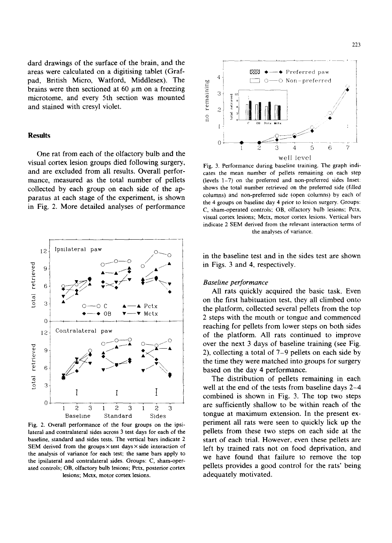dard drawings of the surface of the brain, and the areas were calculated on a digitising tablet (Grafpad, British Micro, Watford, Middlesex). The brains were then sectioned at 60  $\mu$ m on a freezing microtome, and every 5th section was mounted and stained with cresyl violet.

#### **Results**

One rat from each of the olfactory bulb and the visual cortex lesion groups died following surgery, and are excluded from all results. Overall performance, measured as the total number of pellets collected by each group on each side of the apparatus at each stage of the experiment, is shown in Fig. 2. More detailed analyses of performance



Fig. 2. Overall performance of the four groups on the ipsilateral and contralateral sides across 3 test days for each of the baseline, standard and sides tests. The vertical bars indicate 2 SEM derived from the groups  $\times$  test days  $\times$  side interaction of the analysis of variance for each test; the same bars apply to the ipsilateral and contralateral sides. Groups: C, sham-operated controls; OB, olfactory bulb lesions; Pctx, posterior cortex lesions; Mctx, motor cortex lesions.



Fig. 3. Performance during baseline training. The graph indicates the mean number of pellets remaining on each step (levels 1-7) on the preferred and non-preferred sides Inset: shows the total number retrieved on the preferred side (filled columns) and non-preferred side (open columns) by each of the 4 groups on baseline day 4 prior to lesion surgery. Groups: C, sham-operated controls; OB, olfactory bulb lesions; Pctx, visual cortex lesions; Mctx, motor cortex lesions. Vertical bars indicate 2 SEM derived from the relevant interaction terms of the analyses of variance.

in the baseline test and in the sides test are shown in Figs. 3 and 4, respectively.

## *Baseline performance*

All rats quickly acquired the basic task. Even on the first habituation test, they all climbed onto the platform, collected several pellets from the top 2 steps with the mouth or tongue and commenced reaching for pellets from lower steps on both sides of the platform. All rats continued to improve over the next 3 days of baseline training (see Fig. 2), collecting a total of 7-9 pellets on each side by the time they were matched into groups for surgery based on the day 4 performance.

The distribution of pellets remaining in each well at the end of the tests from baseline days 2-4 combined is shown in Fig. 3. The top two steps are sufficiently shallow to be within reach of the tongue at maximum extension. In the present experiment all rats were seen to quickly lick up the pellets from these two steps on each side at the start of each trial. However, even these pellets are left by trained rats not on food deprivation, and we have found that failure to remove the top pellets provides a good control for the rats' being adequately motivated.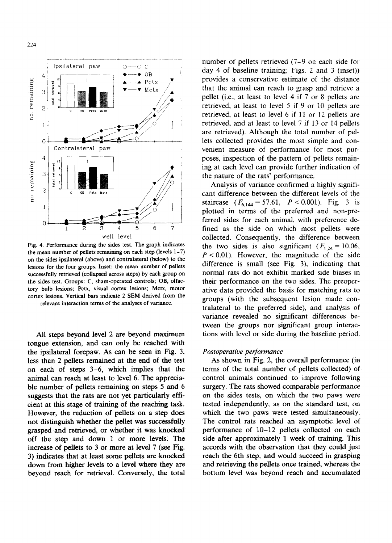

Fig. 4. Performance during the sides test. The graph indicates the mean number of pellets remaining on each step (levels 1-7) on the sides ipsilateral (above) and contralateral (below) to the lesions for the four groups. Inset: the mean number of pellets successfully retrieved (collapsed across steps) by each group on the sides test. Groups: C, sham-operated controls; OB, olfactory bulb lesions; Pctx, visual cortex lesions; Mctx, motor cortex lesions. Vertical bars indicate 2 SEM derived from the relevant interaction terms of the analyses of variance.

All steps beyond level 2 are beyond maximum tongue extension, and can only be reached with the ipsilateral forepaw. As can be seen in Fig. 3, less than 2 pellets remained at the end of the test on each of steps 3-6, which implies that the animal can reach at least to level 6: The appreciable number of pellets remaining on steps 5 and 6 suggests that the rats are not yet particularly efficient at this stage of training of the reaching task. However, the reduction of pellets on a step does not distinguish whether the pellet was successfully grasped and retrieved, or whether it was knocked off the step and down 1 or more levels, The increase of pellets to 3 or more at level 7 (see Fig. 3) indicates that at least some pellets are knocked down from higher levels to a level where they are beyond reach for retrieval. Conversely, the total

number of pellets retrieved (7-9 on each side for day 4 of baseline training; Figs. 2 and 3 (inset)) provides a conservative estimate of the distance that the animal can reach to grasp and retrieve a pellet (i.e., at least to level 4 if 7 or 8 pellets are retrieved, at least to level 5 if 9 or 10 pellets are retrieved, at least to level 6 if 11 or 12 pellets are retrieved, and at least to level 7 if 13 or 14 pellets are retrieved). Although the total number of pellets collected provides the most simple and convenient measure of performance for most purposes, inspection of the pattern of pellets remaining at each level can provide further indication of the nature of the rats' performance.

Analysis of variance confirmed a highly significant difference between the different levels of the staircase  $(F_{6,144} = 57.61, P < 0.001)$ . Fig. 3 is plotted in terms of the preferred and non-preferred sides for each animal, with preference defined as the side on which most pellets were collected. Consequently, the difference between the two sides is also significant ( $F_{1,24} = 10.06$ ,  $P < 0.01$ ). However, the magnitude of the side difference is small (see Fig. 3), indicating that normal rats do not exhibit marked side biases in their performance on the two sides. The preoperative data provided the basis for matching rats to groups (with the subsequent lesion made contralateral to the preferred side), and analysis of variance revealed no significant differences between the groups nor significant group interactions with level or side during the baseline period.

#### *Postoperative performance*

As shown in Fig. 2, the overall performance (in terms of the total number of pellets collected) of control animals continued to improve following surgery. The rats showed comparable performance on the sides tests, on which the two paws were tested independently, as on the standard test, on which the two paws were tested simultaneously. The control rats reached an asymptotic level of performance of 10-12 pellets collected on each side after approximately 1 week of training. This accords with the observation that they could just reach the 6th step, and would succeed in grasping and retrieving the pellets once trained, whereas the bottom level was beyond reach and accumulated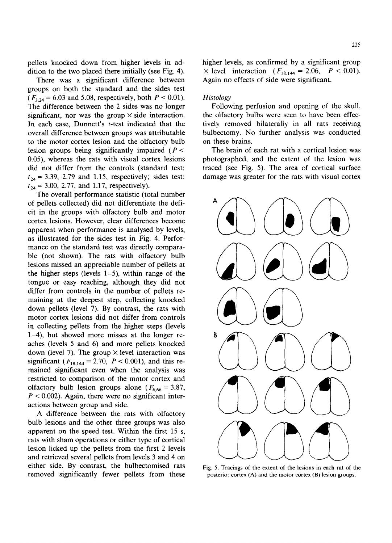pellets knocked down from higher levels in addition to the two placed there initially (see Fig. 4).

There was a significant difference between groups on both the standard and the sides test  $(F_{3,24} = 6.03$  and 5.08, respectively, both  $P < 0.01$ ). The difference between the 2 sides was no longer significant, nor was the group  $\times$  side interaction. In each case, Dunnett's *t*-test indicated that the overall difference between groups was attributable to the motor cortex lesion and the olfactory bulb lesion groups being significantly impaired ( $P <$ 0.05), whereas the rats with visual cortex lesions did not differ from the controls (standard test:  $t_{24} = 3.39, 2.79$  and 1.15, respectively; sides test:  $t_{24} = 3.00, 2.77,$  and 1.17, respectively).

The overall performance statistic (total number of pellets collected) did not differentiate the deficit in the groups with olfactory bulb and motor cortex lesions. However, clear differences become apparent when performance is analysed by levels, as illustrated for the sides test in Fig. 4. Performance on the standard test was directly comparable (not shown). The rats with olfactory bulb lesions missed an appreciable number of pellets at the higher steps (levels  $1-5$ ), within range of the tongue or easy reaching, although they did not differ from controls in the number of pellets remaining at the deepest step, collecting knocked down pellets (level 7). By contrast, the rats with motor cortex lesions did not differ from controls in collecting pellets from the higher steps (levels 1-4), but showed more misses at the longer reaches (levels 5 and 6) and more pellets knocked down (level 7). The group  $\times$  level interaction was significant ( $F_{18,144} = 2.70$ ,  $P < 0.001$ ), and this remained significant even when the analysis was restricted to comparison of the motor cortex and olfactory bulb lesion groups alone ( $F_{6,66} = 3.87$ ,  $P < 0.002$ ). Again, there were no significant interactions between group and side.

A difference between the rats with olfactory bulb lesions and the other three groups was also apparent on the speed test. Within the first 15 s, rats with sham operations or either type of cortical lesion licked up the pellets from the first 2 levels and retrieved several pellets from levels 3 and 4 on either side. By contrast, the bulbectomised rats removed significantly fewer pellets from these higher levels, as confirmed by a significant group  $\times$  level interaction ( $F_{18,144} = 2.06$ ,  $P < 0.01$ ). Again no effects of side were significant.

## *Histology*

Following perfusion and opening of the skull, the olfactory bulbs were seen to have been effectively removed bilaterally in all rats receiving bulbectomy. No further analysis was conducted on these brains.

The brain of each rat with a cortical lesion was photographed, and the extent of the lesion was traced (see Fig. 5). The area of cortical surface damage was greater for the rats with visual cortex



**Fig. 5. Tracings of the extent of the lesions in each rat of the posterior cortex (A) and the motor cortex (B) lesion groups.**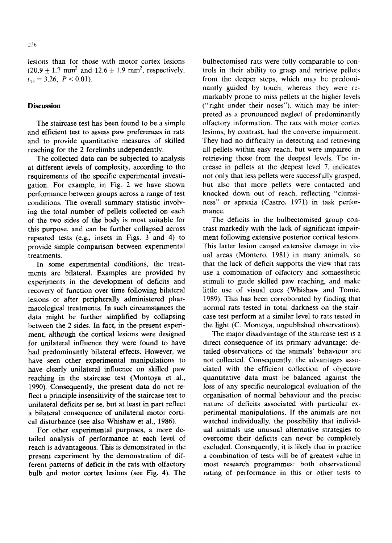lesions than for those with motor cortex lesions  $(20.9 + 1.7 \text{ mm}^2 \text{ and } 12.6 \pm 1.9 \text{ mm}^2, \text{ respectively},$  $t_{15} = 3.26, P < 0.01$ ).

## **Discussion**

The staircase test has been found to be a simple and efficient test to assess paw preferences in rats and to provide quantitative measures of skilled reaching for the 2 forelimbs independently.

The collected data can be subjected to analysis at different levels of complexity, according to the requirements of the specific experimental investigation. For example, in Fig. 2 we have shown performance between groups across a range of test conditions. The overall summary statistic involving the total number of pellets collected on each of the two sides of the body is most suitable for this purpose, and can be further collapsed across repeated tests (e.g., insets in Figs. 3 and 4) to provide simple comparison between experimental treatments.

In some experimental conditions, the treatments are bilateral. Examples are provided by experiments in the development of deficits and recovery of function over time following bilateral lesions or after peripherally administered pharmacological treatments. In such circumstances the data might be further simplified by collapsing between the 2 sides. In fact, in the present experiment, although the cortical lesions were designed for unilateral influence they were found to have had predominantly bilateral effects. However, we have seen other experimental manipulations to have clearly unilateral influence on skilled paw reaching in the staircase test (Montoya et al., 1990). Consequently, the present data do not reflect a principle insensitivity of the staircase test to unilateral deficits per se, but at least in part reflect a bilateral consequence of unilateral motor cortical disturbance (see also Whishaw et al., 1986).

For other experimental purposes, a more detailed analysis of performance at each level of reach is advantageous. This is demonstrated in the present experiment by the demonstration of different patterns of deficit in the rats with olfactory bulb and motor cortex lesions (see Fig. 4). The

bulbectomised rats were fully comparable to controls in their ability to grasp and retrieve pellets from the deeper steps, which may be predominantly guided by touch, whereas they were remarkably prone to miss pellets at the higher levels ("fight under their noses"), which may be interpreted as a pronounced neglect of predominantly olfactory information. The rats with motor cortex lesions, by contrast, had the converse impairment. They had no difficulty in detecting and retrieving all pellets within easy reach, but were impaired in retrieving those from the deepest levels. The increase in pellets at the deepest level 7, indicates not only that less pellets were successfully grasped, but also that more pellets were contacted and knocked down out of reach, reflecting "clumsiness" or apraxia (Castro, 1971) in task performance.

The deficits in the bulbectomised group contrast markedly with the lack of significant impairment following extensive posterior cortical lesions. This latter lesion caused extensive damage in visual areas (Montero, 1981) in many animals, so that the lack of deficit supports the view that rats use a combination of olfactory and somaesthetic stimuli to guide skilled paw reaching, and make little use of visual cues (Whishaw and Tomie, 1989). This has been corroborated by finding that normal rats tested in total darkness on the staircase test perform at a similar level to rats tested in the light (C. Montoya, unpublished observations).

The major disadvantage of the staircase test is a direct consequence of its primary advantage: detailed observations of the animals' behaviour are not collected. Consequently, the advantages associated with the efficient collection of objective quantitative data must be balanced against the loss of any specific neurological evaluation of the organisation of normal behaviour and the precise nature of deficits associated with particular experimental manipulations. If the animals are not watched individually, the possibility that individual animals use unusual alternative strategies to overcome their deficits can never be completely excluded. Consequently, it is likely that in practice a combination of tests will be of greatest value in most research programmes: both observational rating of performance in this or other tests to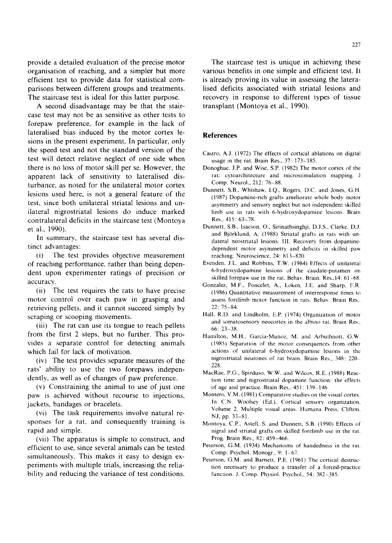provide a detailed evaluation of the precise motor organisation of reaching, and a simpler but more efficient test to provide data for statistical comparisons between different groups and treatments. The staircase test is ideal for this latter purpose.

A second disadvantage may be that the staircase test may not be as sensitive as other tests to forepaw preference, for example in the lack of lateralised bias induced by the motor cortex lesions in the present experiment. In particular, only the speed test and not the standard version of the test will detect relative neglect of one side when there is no loss of motor skill per se. However, the apparent lack of sensitivity to lateralised disturbance, as noted for the unilateral motor cortex lesions used here, is not a general feature of the test, since both unilateral striatal lesions and unilateral nigrostriatal lesions do induce marked contralateral deficits in the staircase test (Montoya et al., 1990).

In summary, the staircase test has several distinct advantages:

(i) The test provides objective measurement of reaching performance, rather than being dependent upon experimenter ratings of precision or accuracy.

(ii) The test requires the rats to have precise motor control over each paw in grasping and retrieving pellets, and it cannot succeed simply by scraping or scooping movements.

(iii) The rat can use its tongue to reach pellets from the first 2 steps, but no further. This provides a separate control for detecting animals which fail for lack of motivation.

(iv) The test provides separate measures of the rats' ability to use the two forepaws independently, as well as of changes of paw preference.

(v) Constraining the animal to use of just one paw is achieved without recourse to injections, jackets, bandages or bracelets.

(vi) The task requirements involve natural responses for a rat, and consequently training is rapid and simple.

(vii) The apparatus is simple to construct, and efficient to use, since several animals can be tested simultaneously. This makes it easy to design experiments with multiple trials, increasing the reliability and reducing the variance of test conditions.

The staircase test is unique in achieving these various benefits in one simple and efficient test. It is already proving its value in assessing the lateralised deficits associated with striatal lesions and recovery in response to different types of tissue transplant (Montoya et al., 1990).

## **References**

- Castro, A.J. (1972) The effects of cortical ablations on digital usage in the rat. Brain Res., 37: 173-185.
- Donoghue, J.P. and Wise, S.P. (1982) The motor cortex of the rat: cytoarchitecture and microstimulation mapping. J Comp. Neurol., 212: 76-88.
- Dunnett, S.B., Whishaw, I.Q., Rogers, D.C. and Jones, G.H. (1987) Dopamine-rich grafts ameliorate whole body motor asymmetry and sensory neglect but not independent skilled limb use in rats with 6-hydroxydopamine lesions. Brain Res., 415: 63-78.
- Dunnett, S.B., Isacson, O., Sirinathsinghji, D.J.S., Clarke, D.J. and Björklund, A. (1988) Striatal grafts in rats with unilateral neostriatal lesions. 111. Recovery from dopaminedependent motor asymmetry and deficits in skilled paw reaching. Neuroscience, 24: 813-820.
- Evenden. J.L. and Robbins, T.W. (1984) Effects of unilateral 6-hydroxydopamine lesions of the caudate-putamen on skilled forepaw use in the rat. Behav. Brain. Res.,14: 61-68.
- Gonzalez, M.F., Poncelet, A., Loken, J.E. and Sharp, F.R. (1986) Quantitative measurement of interresponse times to assess forelimb motor function in rats. Behav. Brain Res., 22: 75-84.
- Hall, R.D. and Lindholm, E.P. (1974) Organization of motor and somatosensory neocortex in the albino rat. Brain Res.. 66: 23-38.
- Hamilton, M.H., Garcia-Munoz, M. and Arbuthnott, G.W. (1985) Separation of the motor consequences from other actions of unilateral 6-hydroxydopamine lesions in thc nigrostriatal neurones of rat brain. Brain Res., 348:220 228.
- MacRae, P.G,, Spirduso, W.W. and Wilcox, R.E. (1988) Reaction time and nigrostriatal dopamine function: the effects of age and practice. Brain Res., 451: 139-146.
- Montero, V.M. (1981) Comparative studies on the visual cortex. In C.N. Woolsey (Ed.), Cortical sensory organization, Volume 2, Multiple visual areas. Humana Press, Clifton, NJ, pp. 33-81.
- Montoya, C.P., Astell, S. and Dunnett, S.B. (1990) Effects of nigral and striatal grafts on skilled forelimb use in the rat. Prog. Brain Res., 82: 459-466.
- Peterson, G.M. (1934) Mechanisms of handedness in the rat. Comp. Psychol. Monogr., 9: 1-67.
- Peterson, G.M. and Barnett, P.E. (1961) The cortical destruction necessary to produce a transfer of a forced-practice function. J. Comp. Physiol. Psychol., 54: 382-385.